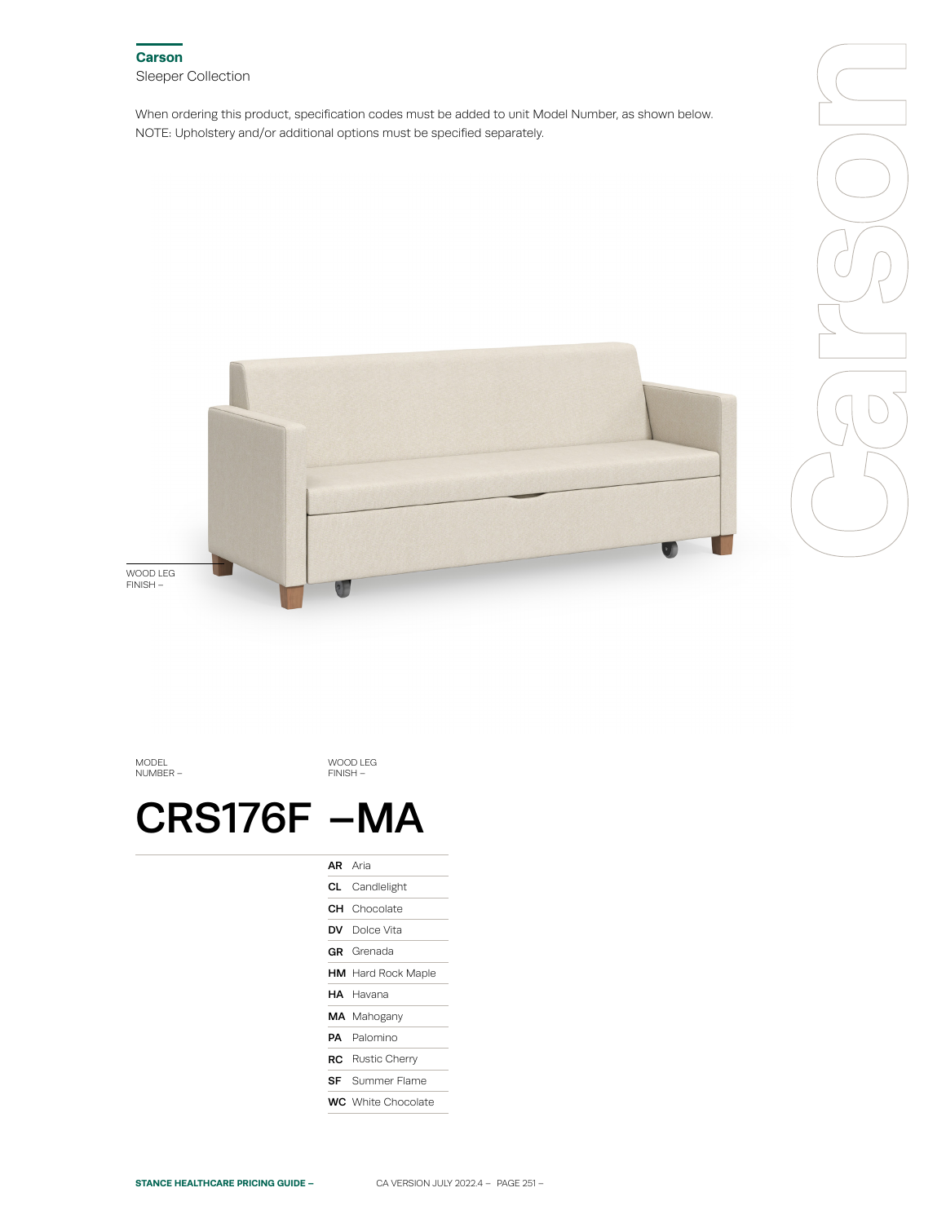

When ordering this product, specification codes must be added to unit Model Number, as shown below. NOTE: Upholstery and/or additional options must be specified separately.



Carson<br>Carson<br>Carson

MODEL NUMBER –

WOOD LEG FINISH –

## CRS176F –MA

|    | <b>AR</b> Aria            |
|----|---------------------------|
| CL | Candlelight               |
|    | <b>CH</b> Chocolate       |
|    | <b>DV</b> Dolce Vita      |
|    | GR Grenada                |
|    | <b>HM</b> Hard Rock Maple |
|    | HA Havana                 |
|    | <b>MA</b> Mahogany        |
|    | <b>PA</b> Palomino        |
|    | RC Rustic Cherry          |
|    | <b>SF</b> Summer Flame    |
|    | <b>WC</b> White Chocolate |